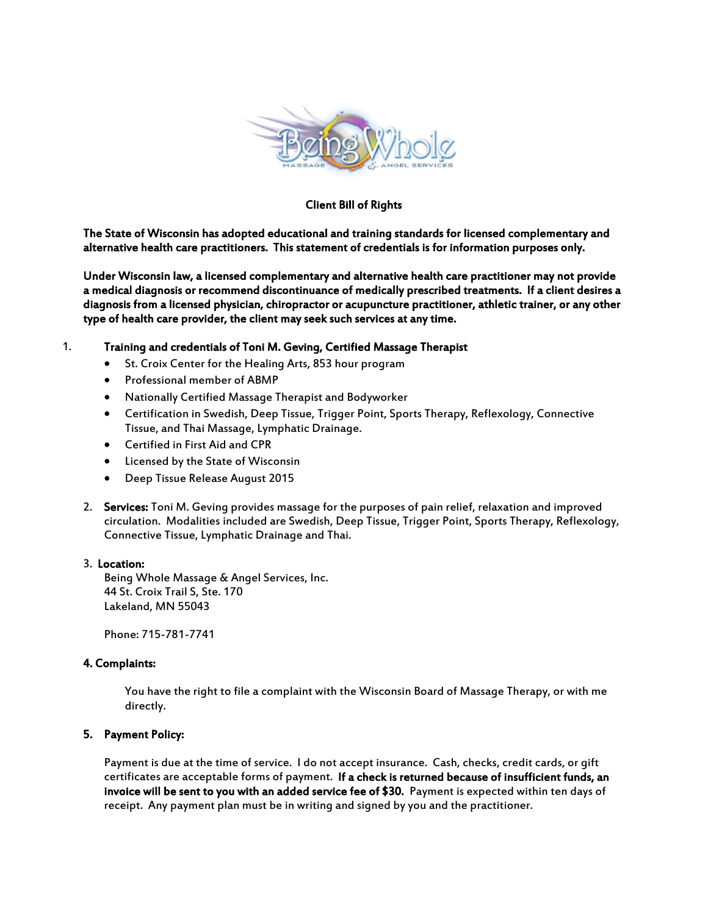

## Client Bill of Rights

The State of Wisconsin has adopted educational and training standards for licensed complementary and alternative health care practitioners. This statement of credentials is for information purposes only.

Under Wisconsin law, a licensed complementary and alternative health care practitioner may not provide a medical diagnosis or recommend discontinuance of medically prescribed treatments. If a client desires a diagnosis from a licensed physician, chiropractor or acupuncture practitioner, athletic trainer, or any other type of health care provider, the client may seek such services at any time.

# 1. Training and credentials of Toni M. Geving, Certified Massage Therapist

- St. Croix Center for the Healing Arts, 853 hour program
- Professional member of ABMP
- Nationally Certified Massage Therapist and Bodyworker
- Certification in Swedish, Deep Tissue, Trigger Point, Sports Therapy, Reflexology, Connective Tissue, and Thai Massage, Lymphatic Drainage.
- Certified in First Aid and CPR
- Licensed by the State of Wisconsin
- Deep Tissue Release August 2015
- 2. Services: Toni M. Geving provides massage for the purposes of pain relief, relaxation and improved circulation. Modalities included are Swedish, Deep Tissue, Trigger Point, Sports Therapy, Reflexology, Connective Tissue, Lymphatic Drainage and Thai.

### 3. Location:

Being Whole Massage & Angel Services, Inc. 44 St. Croix Trail S, Ste. 170 Lakeland, MN 55043

Phone: 715-781-7741

### 4. Complaints:

You have the right to file a complaint with the Wisconsin Board of Massage Therapy, or with me directly.

### 5. Payment Policy:

Payment is due at the time of service. I do not accept insurance. Cash, checks, credit cards, or gift certificates are acceptable forms of payment. If a check is returned because of insufficient funds, an invoice will be sent to you with an added service fee of \$30. Payment is expected within ten days of receipt. Any payment plan must be in writing and signed by you and the practitioner.